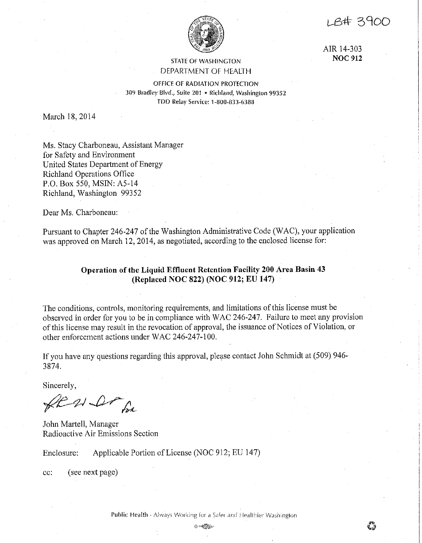LB# 3900



AIR 14-303 **NOC 912** 

## STATE OF WASHINGTON DEPARTMENT OF HEALTH

OFFICE OF RADIATION PROTECTION 309 Bradley Blvd,, Suite 201 • Richland, Washington 99352 TDD Relay Service: 1-800-833-6388

March 18, 2014

Ms. Stacy Charboneau, Assistant Manager for Safety and Environment United States Department of Energy Richland Operations Office P.O. Box 550, MSIN: A5-14 Richland, Washington 99352

Dear Ms. Charboneau:

Pursuant to Chapter 246-247 of the Washington Administrative Code (WAC), your application was approved on March 12, 2014, as negotiated, according to the enclosed license for:

# **Operation of the Liquid Effluent Retention Facility 200 Area Basin 43 (Replaced NOC 822) (NOC 912; EU 147)**

The conditions, controls, monitoring requirements, and limitations of this license must be observed in order for you to be in compliance with WAC 246-247. Failure to meet any provision of this license may result in the revocation of approval, the issuance of Notices of Violation, or other enforcement actions under WAC 246-247-100.

If you have any questions regarding this approval, please contact John Schmidt at (509) 946- 3874.

Sincerely,

fl 21 Dr for

John Martell, Manager Radioactive Air Emissions Section

Enclosure: Applicable Portion of License (NOC 912; EU 147)

cc: (see next page)

Public: Health - Always Working for a Safer and Healthier Washington

 $0$  which  $\sim$  $\mathcal{O}(\mathcal{O}_\mathbf{C})$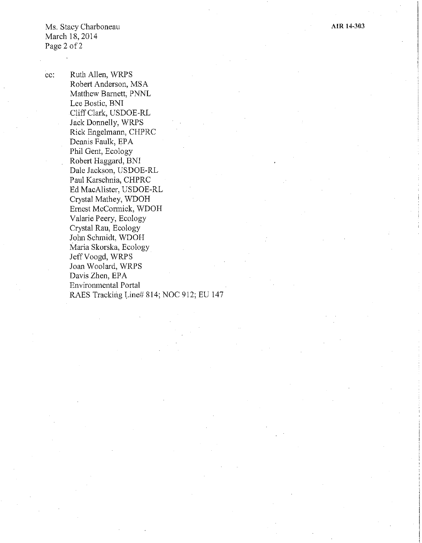Ms. Stacy Charboneau March 18, 2014 Page 2 of 2

cc: Ruth Allen, WRPS Robert Anderson, MSA Matthew Barnett, PNNL Lee Bostic, BNI Cliff Clark, USDOE-RL Jack Donnelly, WRPS Rick Engelmann, CHPRC Dennis Faulk, EPA Phil Gent, Ecology Robert Haggard, BNI Dale Jackson, USDOE-RL Paul Karschnia, CHPRC Ed MacAlister, USDOE-RL Crystal Mathey, WDOH Ernest McConnick, WDOH Valarie Peery, Ecology Crystal Rau, Ecology John Schmidt, WDOH Maria Skorska, Ecology Jeff Voogd, WRPS Joan Woolard, WRPS Davis Zhen, EPA Environmental Portal RAES Tracking Line# 814; NOC 912; EU 147 **AIR 14-303**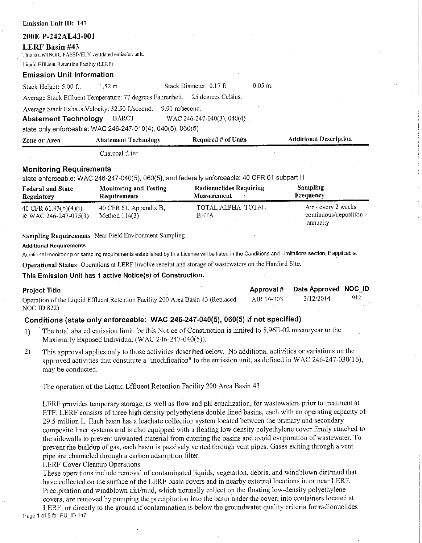| 200E P-242AL43-001                                                            |                                                            |                                                                                               |                                                            |
|-------------------------------------------------------------------------------|------------------------------------------------------------|-----------------------------------------------------------------------------------------------|------------------------------------------------------------|
| <b>LERF Basin #43</b><br>This is a MINOR, PASSIVELY ventilated emission unit. |                                                            |                                                                                               |                                                            |
| Liquid Effluent Retention Facility (LERF)                                     |                                                            |                                                                                               |                                                            |
| <b>Emission Unit Information</b>                                              |                                                            |                                                                                               |                                                            |
| Stack Height: 5.00 ft.                                                        | $1.52 \; \text{m}$ .                                       | $0.05 \; \text{m}$ .<br>Stack Diameter 0.17 ft.                                               |                                                            |
|                                                                               | Average Stack Effluent Temperature: 77 degrees Fahrenheit  | 25 degrees Celsius.                                                                           |                                                            |
| Average Stack ExhaustVelocity: 32.50 ft/second.<br>Abatement Technology BARCT | state only enforceable: WAC 246-247-010(4), 040(5), 060(5) | 9.91 m/second.<br>WAC 246-247-040(3), 040(4)                                                  |                                                            |
| Zone or Area                                                                  | <b>Abatement Technology</b>                                | Required $#$ of Units                                                                         | <b>Additional Description</b>                              |
|                                                                               | Charcoal filter                                            |                                                                                               |                                                            |
| <b>Monitoring Requirements</b>                                                |                                                            | state enforceable: WAC 246-247-040(5), 060(5), and federally enforceable: 40 CFR 61 subpart H |                                                            |
| <b>Federal and State</b><br>Regulatory                                        | <b>Monitoring and Testing</b><br>Requirements              | <b>Radionuclides Requiring</b><br>Measurement                                                 | <b>Sampling</b><br>Frequency                               |
| 40 CFR 61.93(b)(4)(i)<br>& WAC 246-247-075(3)                                 | 40 CFR 61, Appendix B,<br>Method $114(3)$                  | TOTAL ALPHA TOTAL<br>BETA                                                                     | Air - every 2 weeks<br>continuous/deposition -<br>annually |

**Sampling Requirements** Near Field Environment Sampling

#### **Additional Requirements**

Emission Unit ID: 147

Additional monitoring or sampling requirements established by this License will be listed in the Conditions and Limitations section, if applicable.

**Operational Status** Operations at LERF involve receipt and storage of wastewaters on the Hanford Site.

#### **This Emission Unit has 1 active Notice(s) of Construction.**

| <b>Project Title</b>                                                            |            | Approval # Date Approved NOC ID |     |
|---------------------------------------------------------------------------------|------------|---------------------------------|-----|
| Operation of the Liquid Effluent Retention Facility 200 Area Basin 43 (Replaced | AIR 14-303 | 3/12/2014                       | 912 |
| NOC ID 822)                                                                     |            |                                 |     |

### **Conditions (state only enforceable: WAC 246-247-040(5), 060(5) if not specified)**

- 1) The total abated emission limit for this Notice of Construction is limited to 5.96E-02 mrem/year to the Maximally Exposed Individual (WAC 246-247-040(5)).
- 2) This approval applies only to those activities described below. No additional activities or variations on the approved activities that constitute a "modification" to the emission unit, as defined in WAC 246-247-030(16), may be conducted.

The operation of the Liquid Effluent Retention Facility 200 Area Basin 43

LERF provides temporary storage, as well as flow and pH equalization, for wastewaters prior to treatment at ETF. LERF consists of three high density polyethylene double lined basins, each with an operating capacity of 29.5 million L. Each basin has a leachate collection system located between the primary and secondary composite liner systems and is also equipped with a floating low density polyethylene cover finnly attached to the sidewalls to prevent unwanted material from entering the basins and avoid evaporation of wastewater. To prevent the buildup of gas, each basin is passively vented through vent pipes. Gases exiting through a vent pipe are channeled through a carbon adsorption filter.

#### LERF Cover Cleanup Operations

These operations include removal of contaminated liquids, vegetation, debris, and windblown dirt/mud that have collected on the surface of the LERF basin covers and in nearby external locations in or near LERF. Precipitation and windblown dirt/mud, which normally collect on the floating low-density polyethylene covers, are removed by pumping the precipitation into the basin under the cover, into containers located at LERF, or directly to the ground if contamination is below the groundwater quality criteria for radionuclides Page 1 of 5 for EU\_ID 147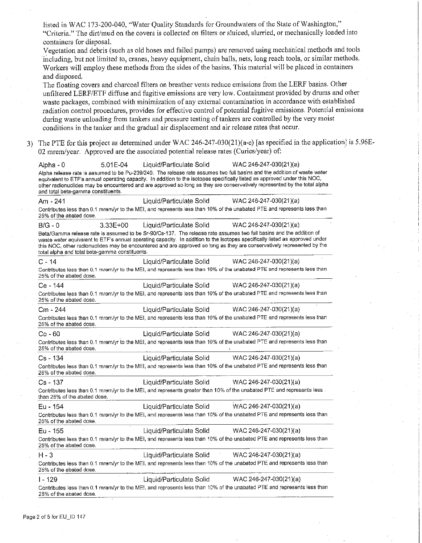listed in WAC 173-200-040, "Water Quality Standards for Groundwaters of the State of Washington," "Criteria." The dirt/mud on the covers is collected on filters or sluiced, slurried, or mechanically loaded into containers for disposal. Vegetation and debris ( such as old hoses and failed pumps) are removed using mechanical methods and tools including, but not limited to, cranes, heavy equipment, chain balls, nets, long reach tools, or similar methods. Workers will employ these methods from the sides of the basins. This material will be placed in containers and disposed. The floating covers and charcoal filters on breather vents reduce emissions from the LERF basins. Other unfiltered LERF/ETF diffuse and fugitive emissions are very low. Containment provided by drums and other waste packages, combined with minimization of any external contamination in accordance with established radiation control procedures, provides for effective control of potential fugitive emissions. Potential emissions during waste unloading from tankers and pressure testing of tankers are controlled by the very moist conditions in the tanker and the gradual air displacement and air release rates that occur. The PTE for this project as determined under WAC 246-247-030(21)(a-e) [as specified in the application] is 5.96E-02 mrem/year. Approved are the associated potential release rates (Curies/year) of: · Alpha - 0 5.01 E-04 Liquid/Particulate Solid WAC 246-247-030(21)(a) Alpha release rate is assumed to be Pu-239/240. The release rate assumes two full basins and the addition of waste water equivalent to ETF's annual operating capacity. In addition to the isotopes specifically listed as approved under this NOC, other radionuclldes may be encountered and are approved so long as they are conservatively represented by the total alpha and total beta-gamma constituents. Am - 241 Liquid/Particulate Solid WAC 246-247-030(21 )(a) Contributes less than 0.1 mrem/yr to the MEI, and represents less than 10% of the unabated PTE and represents less than 25% of the abated dose. B/G - 0 3.33E+00 Liquid/Particulate Solid WAC 246-247-030(21 )(a) Beta/Gamma release rate is assumed to be Sr-90/Cs-137. The release rate assumes two full basins and the addition of waste water equivalent to ETF's annual operating capacity. In addition to the isotopes specifically listed as approved under this NOC, other radionuclides may be encountered and are approved so long as they are conservatively represented by the total alpha and total beta-gamma constituents. C - 14 Liquid/Particulate Solid WAC 246-247-030(21)(a) Contributes less than 0.1 mrem/yr to the MEI, and represents less than 10% of the unabated PTE and represents less than 25% of the abated dose. Ce - 144 Liquid/Particulate Solid WAC 246-247-030(21 )(a) Contributes less than 0.1 mrem/yr to the MEI, and represents less than 10% of the unabated PTE and represents less than 25% of the abated dose. Cm - 244 Liquid/Particulate Solid WAC 246-247-030(21 )(a) Contributes less than 0.1 mrem/yr to the MEI, and represents less than 10% of the unabated PTE and represents less than 25% of the abated dose. Co -60 Liquid/Particulate Solid WAC 246-247-030(21 )(a) Contributes less than 0.1 mrem/yr to the MEI, and represents less than 10% of the unabated PTE and represents less than 25% of the abated dose. Cs - 134 Liquid/Particulate Solid WAC 246-247-030(21 )(a) Contributes less than 0.1 mrem/yr to the MEI, and represents less than 10% of the unabated PTE and represents less than 25% of the abated dose. Cs - 137 Liquid/Particulate Solid WAC 246-247-030(21 )(a) Contributes less than 0.1 mrem/yr to the MEI, and represents greater than 10% of the unabated PTE and represents less than 25% of the abated dose. Eu - 154 Liquid/Particulate Solid WAC 246-247-030(21 )(a) Contributes less than 0.1 mrem/yr to the MEI, and represents less than 10% of the unabated PTE and represents less than 25% of the abated dose. Eu - 155 Liquid/Particulate Solid WAC 246-247-030(21 )(a) Contributes less than 0.1 mrem/yr to the MEI, and represents less than 10% of the unabated PTE and represents less than 25% of the abated dose. H-3 Liquid/Particulate Solid WAC 246-247-030(21 )(a) Contributes less than 0.1 mrem/yr to the MEI, and represents less than 10% of the unabated PTE and represents less than 25% of the abated dose. I - 129 Liquid/Particulate Solid WAC 246-247-030(21 )(a) Contributes less than 0.1 mrem/yr to the MEI, and represents less than 10% of the unabated PTE and represents less than 25% of the abated dose.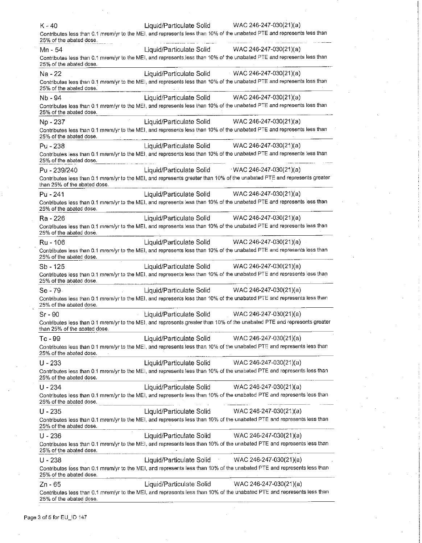| $K - 40$                     | Liquid/Particulate Solid<br>WAC 246-247-030(21)(a)                                                                       |
|------------------------------|--------------------------------------------------------------------------------------------------------------------------|
| 25% of the abated dose.      | Contributes less than 0.1 mrem/yr to the MEI, and represents less than 10% of the unabated PTE and represents less than  |
| $Mn - 54$                    | Liquid/Particulate Solid WAC 246-247-030(21)(a)                                                                          |
| 25% of the abated dose.      | Contributes less than 0.1 mrem/yr to the MEI, and represents less than 10% of the unabated PTE and represents less than  |
| Na - 22                      | Liquid/Particulate Solid WAC 246-247-030(21)(a)                                                                          |
| 25% of the abated dose.      | Contributes less than 0.1 mrem/yr to the MEI, and represents less than 10% of the unabated PTE and represents less than  |
| Nb - 94                      | Liquid/Particulate Solid WAC 246-247-030(21)(a)                                                                          |
| 25% of the abated dose.      | Contributes less than 0.1 mrem/yr to the MEI, and represents less than 10% of the unabated PTE and represents less than  |
| Np - 237                     | Liquid/Particulate Solid WAC 246-247-030(21)(a)                                                                          |
| 25% of the abated dose.      | Contributes less than 0.1 mrem/yr to the MEI, and represents less than 10% of the unabated PTE and represents less than  |
| Pu - 238                     | Liquid/Particulate Solid WAC 246-247-030(21)(a)                                                                          |
| 25% of the abated dose.      | Contributes less than 0.1 mrem/yr to the MEI, and represents less than 10% of the unabated PTE and represents less than  |
| Pu - 239/240                 | Liquid/Particulate Solid WAC 246-247-030(21)(a)                                                                          |
| than 25% of the abated dose. | Contributes less than 0.1 mrem/yr to the MEI, and represents greater than 10% of the unabated PTE and represents greater |
| Pu - 241                     | Liquid/Particulate Solid<br>WAC 246-247-030(21)(a)                                                                       |
| 25% of the abated dose.      | Contributes less than 0.1 mrem/yr to the MEI, and represents less than 10% of the unabated PTE and represents less than  |
| Ra - 226                     | WAC 246-247-030(21)(a)<br>Liquid/Particulate Solid                                                                       |
| 25% of the abated dose.      | Contributes less than 0.1 mrem/yr to the MEI, and represents less than 10% of the unabated PTE and represents less than  |
| Ru - 106                     | WAC 246-247-030(21)(a)<br>Liquid/Particulate Solid                                                                       |
| 25% of the abated dose.      | Contributes less than 0.1 mrem/yr to the MEI, and represents less than 10% of the unabated PTE and represents less than  |
| Sb - 125                     | Liquid/Particulate Solid<br>WAC 246-247-030(21)(a)                                                                       |
| 25% of the abated dose.      | Contributes less than 0.1 mrem/yr to the MEI, and represents less than 10% of the unabated PTE and represents less than  |
| Se 79                        | WAC 246-247-030(21)(a)<br>Liquid/Particulate Solid                                                                       |
| 25% of the abated dose.      | Contributes less than 0.1 mrem/yr to the MEI, and represents less than 10% of the unabated PTE and represents less than  |
| $Sr - 90$                    | Liquid/Particulate Solid<br>WAC 246-247-030(21)(a)                                                                       |
| than 25% of the abated dose. | Contributes less than 0.1 mrem/yr to the MEI, and represents greater than 10% of the unabated PTE and represents greater |
| Tc - 99                      | WAC 246-247-030(21)(a)<br>Liquid/Particulate Solid                                                                       |
| 25% of the abated dose.      | Contributes less than 0.1 mrem/yr to the MEI, and represents less than 10% of the unabated PTE and represents less than  |
| $U - 233$                    | Liquid/Particulate Solid<br>WAC 246-247-030(21)(a)                                                                       |
| 25% of the abated dose.      | Contributes less than 0.1 mrem/yr to the MEI, and represents less than 10% of the unabated PTE and represents less than  |
| $U - 234$                    | Liquid/Particulate Solid<br>$WAC 246-247-030(21)(a)$                                                                     |
| 25% of the abated dose.      | Contributes less than 0.1 mrem/yr to the MEI, and represents less than 10% of the unabated PTE and represents less than  |
| $U - 235$                    | WAC 246-247-030(21)(a)<br>Liquid/Particulate Solid                                                                       |
| 25% of the abated dose.      | Contributes less than 0.1 mrem/yr to the MEI, and represents less than 10% of the unabated PTE and represents less than  |
| $U - 236$                    | Liquid/Particulate Solid<br>WAC 246-247-030(21)(a)                                                                       |
| 25% of the abated dose.      | Contributes less than 0.1 mrem/yr to the MEI, and represents less than 10% of the unabated PTE and represents less than  |
| U - 238                      | WAC 246-247-030(21)(a)<br>Liquid/Particulate Solid                                                                       |
| 25% of the abated dose.      | Contributes less than 0.1 mrem/yr to the MEI, and represents less than 10% of the unabated PTE and represents less than  |
| Zn - 65                      | WAC 246-247-030(21)(a)<br>Liquid/Particulate Solid                                                                       |
| 25% of the abated dose.      | Contributes less than 0.1 mrem/yr to the MEI, and represents less than 10% of the unabated PTE and represents less than  |

 $\bar{\gamma}$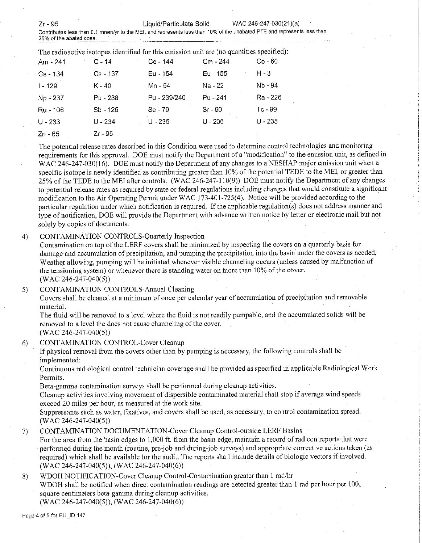Zr - 95 Liquid/Particulate Solid WAC 246-247-030(21 )(a)

**Contributes less than 0.1 mrem/yr to the MEI, and represents less than** 10% **of the unabated PTE and represents less than 25% of the abated dose.** ·

| The radioactive isotopes identified for this emission unit are (no quantities specified): |            |              |            |           |  |  |  |
|-------------------------------------------------------------------------------------------|------------|--------------|------------|-----------|--|--|--|
| Am - 241                                                                                  | $C - 14$   | Ce - 144     | $Cm - 244$ | $Co - 60$ |  |  |  |
| $Cs - 134$                                                                                | $Cs - 137$ | $Eu - 154$   | Eu - 155   | H - 3     |  |  |  |
| $1 - 129$                                                                                 | K - 40     | - Mn - 54    | Na - 22    | Nb - 94   |  |  |  |
| Np - 237                                                                                  | Pu - 238   | Pu - 239/240 | $Pu - 241$ | Ra - 226  |  |  |  |
| Ru - 106                                                                                  | Sb - 125   | $Se-79$      | $Sr-90$    | $TC - 99$ |  |  |  |
| $U - 233$                                                                                 | U - 234    | U - 235      | $U - 236$  | $U - 238$ |  |  |  |
| Zn - 65                                                                                   | Zr - 95    |              |            |           |  |  |  |

The potential release rates described in this Condition were used to determine control technologies and monitoring requirements for this approval. DOE must notify the Department of a "modification" to the emission unit, as defined in WAC 246-247-030(16). DOE must notify the Department of any changes to a NESHAP major emission unit when a specific isotope is newly identified as contributing greater than 10% of the potential TEDE to the MEI, or greater than 25% of the TEDE to the MEI after controls. (WAC 246-247-110(9)) DOE must notify the Department of any changes to potential release rates as required by state or federal regulations including changes that would constitute a significant modification to the Air Operating Pennit under WAC 173-401-725(4). Notice will be provided according to the particular regulation under which notification is required. If the applicable regulation(s) does not address manner and type of notification, DOE will provide the Department with advance written notice by letter or electronic mail but not solely by copies of documents.

## 4) CONTAMINATION CONTROLS-Quarterly Inspection

Contamination on top of the LERF covers shall be minimized by inspecting the covers on a quarterly basis for damage and accumulation of precipitation, and pumping the precipitation into the basin under the covers as needed, Weather allowing, pumping will be initiated whenever visible channeling occurs (unless caused by malfunction of **the tensioning system) or whenever there is standing water on more than 10% of the cover.**  (WAC 246-247-040(5))

5) CONTAMINATION CONTROLS-Annual Cleaning

Covers shall be cleaned at a minimum of once per calendar year of accumulation of precipitation and removable material.

The fluid will be removed to a level where the fluid is not readily pumpable, and the accumulated solids will be removed to a level the does not cause channeling of the cover. (WAC 246-247-040(5))

6) CONTAMINATION CONTROL-Cover Cleanup

If physical removal from the covers other than by pumping is necessary, the following controls shall be implemented:

Continuous radiological control technician coverage shall be provided as specified in applicable Radiological Work Permits.

Beta-gamma contamination surveys shall be performed during cleanup activities.

Cleanup activities involving movement of dispersible contaminated material shall stop if average wind speeds exceed 20 miles per hour, as measured at the work site.

Suppressants such as water, fixatives, and covers shall be used, as necessary, to control contamination spread. (WAC 246-247-040(5))

7) CONTAMINATION DOCUMENTATION-Cover Cleanup Control-outside LERF Basins

For the area from the basin edges to 1,000 ft. from the basin edge, maintain a record of rad con reports that were perfonned during the month (routine, pre-job and during-job surveys) and appropriate corrective actions taken (as required) which shall be available for the audit. The reports shall include details of biologic vectors if involved. (WAC 246-247-040(5)), (WAC 246-247-040(6))

## 8) WDOH NOTIFICATION-Cover Cleanup Control-Contamination greater than I rad/hr

WDOH shall be notified when direct contamination readings are detected greater than I rad per hour per 100, square centimeters beta-gamma during cleanup activities.

(WAC 246-247-040(5)), (WAC 246-247-040(6))